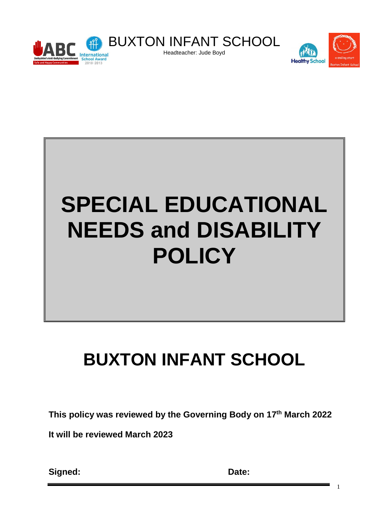





Headteacher: Jude Boyd

# **BUXTON INFANT SCHOOL**

**This policy was reviewed by the Governing Body on 17th March 2022**

**It will be reviewed March 2023**

**Signed: Date:**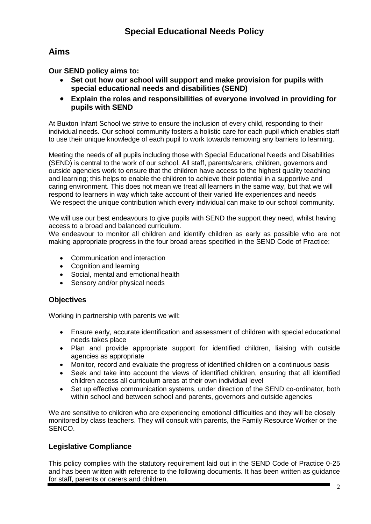## **Aims**

**Our SEND policy aims to:**

- **Set out how our school will support and make provision for pupils with special educational needs and disabilities (SEND)**
- **Explain the roles and responsibilities of everyone involved in providing for pupils with SEND**

At Buxton Infant School we strive to ensure the inclusion of every child, responding to their individual needs. Our school community fosters a holistic care for each pupil which enables staff to use their unique knowledge of each pupil to work towards removing any barriers to learning.

Meeting the needs of all pupils including those with Special Educational Needs and Disabilities (SEND) is central to the work of our school. All staff, parents/carers, children, governors and outside agencies work to ensure that the children have access to the highest quality teaching and learning; this helps to enable the children to achieve their potential in a supportive and caring environment. This does not mean we treat all learners in the same way, but that we will respond to learners in way which take account of their varied life experiences and needs We respect the unique contribution which every individual can make to our school community.

We will use our best endeavours to give pupils with SEND the support they need, whilst having access to a broad and balanced curriculum.

We endeavour to monitor all children and identify children as early as possible who are not making appropriate progress in the four broad areas specified in the SEND Code of Practice:

- Communication and interaction
- Cognition and learning
- Social, mental and emotional health
- Sensory and/or physical needs

#### **Objectives**

Working in partnership with parents we will:

- Ensure early, accurate identification and assessment of children with special educational needs takes place
- Plan and provide appropriate support for identified children, liaising with outside agencies as appropriate
- Monitor, record and evaluate the progress of identified children on a continuous basis
- Seek and take into account the views of identified children, ensuring that all identified children access all curriculum areas at their own individual level
- Set up effective communication systems, under direction of the SEND co-ordinator, both within school and between school and parents, governors and outside agencies

We are sensitive to children who are experiencing emotional difficulties and they will be closely monitored by class teachers. They will consult with parents, the Family Resource Worker or the SENCO.

## **Legislative Compliance**

This policy complies with the statutory requirement laid out in the SEND Code of Practice 0-25 and has been written with reference to the following documents. It has been written as guidance for staff, parents or carers and children.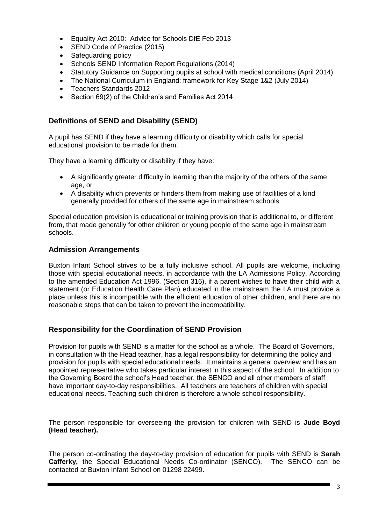- Equality Act 2010: Advice for Schools DfE Feb 2013
- SEND Code of Practice (2015)
- Safeguarding policy
- Schools SEND Information Report Regulations (2014)
- Statutory Guidance on Supporting pupils at school with medical conditions (April 2014)
- The National Curriculum in England: framework for Key Stage 1&2 (July 2014)
- Teachers Standards 2012
- Section 69(2) of the Children's and Families Act 2014

#### **Definitions of SEND and Disability (SEND)**

A pupil has SEND if they have a learning difficulty or disability which calls for special educational provision to be made for them.

They have a learning difficulty or disability if they have:

- A significantly greater difficulty in learning than the majority of the others of the same age, or
- A disability which prevents or hinders them from making use of facilities of a kind generally provided for others of the same age in mainstream schools

Special education provision is educational or training provision that is additional to, or different from, that made generally for other children or young people of the same age in mainstream schools.

#### **Admission Arrangements**

Buxton Infant School strives to be a fully inclusive school. All pupils are welcome, including those with special educational needs, in accordance with the LA Admissions Policy. According to the amended Education Act 1996, (Section 316), if a parent wishes to have their child with a statement (or Education Health Care Plan) educated in the mainstream the LA must provide a place unless this is incompatible with the efficient education of other children, and there are no reasonable steps that can be taken to prevent the incompatibility.

#### **Responsibility for the Coordination of SEND Provision**

Provision for pupils with SEND is a matter for the school as a whole. The Board of Governors, in consultation with the Head teacher, has a legal responsibility for determining the policy and provision for pupils with special educational needs. It maintains a general overview and has an appointed representative who takes particular interest in this aspect of the school. In addition to the Governing Board the school's Head teacher, the SENCO and all other members of staff have important day-to-day responsibilities. All teachers are teachers of children with special educational needs. Teaching such children is therefore a whole school responsibility.

The person responsible for overseeing the provision for children with SEND is **Jude Boyd (Head teacher).** 

The person co-ordinating the day-to-day provision of education for pupils with SEND is **Sarah Cafferky,** the Special Educational Needs Co-ordinator (SENCO). The SENCO can be contacted at Buxton Infant School on 01298 22499.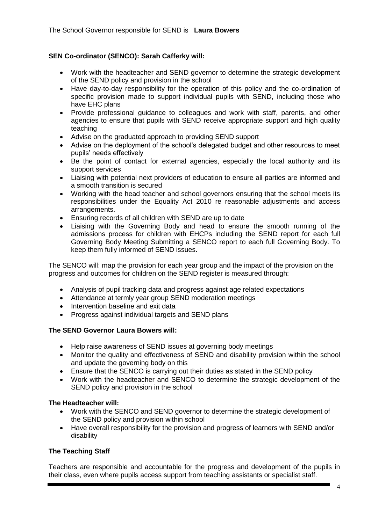## **SEN Co-ordinator (SENCO): Sarah Cafferky will:**

- Work with the headteacher and SEND governor to determine the strategic development of the SEND policy and provision in the school
- Have day-to-day responsibility for the operation of this policy and the co-ordination of specific provision made to support individual pupils with SEND, including those who have EHC plans
- Provide professional guidance to colleagues and work with staff, parents, and other agencies to ensure that pupils with SEND receive appropriate support and high quality teaching
- Advise on the graduated approach to providing SEND support
- Advise on the deployment of the school's delegated budget and other resources to meet pupils' needs effectively
- Be the point of contact for external agencies, especially the local authority and its support services
- Liaising with potential next providers of education to ensure all parties are informed and a smooth transition is secured
- Working with the head teacher and school governors ensuring that the school meets its responsibilities under the Equality Act 2010 re reasonable adjustments and access arrangements.
- Ensuring records of all children with SEND are up to date
- Liaising with the Governing Body and head to ensure the smooth running of the admissions process for children with EHCPs including the SEND report for each full Governing Body Meeting Submitting a SENCO report to each full Governing Body. To keep them fully informed of SEND issues.

The SENCO will: map the provision for each year group and the impact of the provision on the progress and outcomes for children on the SEND register is measured through:

- Analysis of pupil tracking data and progress against age related expectations
- Attendance at termly year group SEND moderation meetings
- Intervention baseline and exit data
- Progress against individual targets and SEND plans

#### **The SEND Governor Laura Bowers will:**

- Help raise awareness of SEND issues at governing body meetings
- Monitor the quality and effectiveness of SEND and disability provision within the school and update the governing body on this
- Ensure that the SENCO is carrying out their duties as stated in the SEND policy
- Work with the headteacher and SENCO to determine the strategic development of the SEND policy and provision in the school

#### **The Headteacher will:**

- Work with the SENCO and SEND governor to determine the strategic development of the SEND policy and provision within school
- Have overall responsibility for the provision and progress of learners with SEND and/or disability

#### **The Teaching Staff**

Teachers are responsible and accountable for the progress and development of the pupils in their class, even where pupils access support from teaching assistants or specialist staff.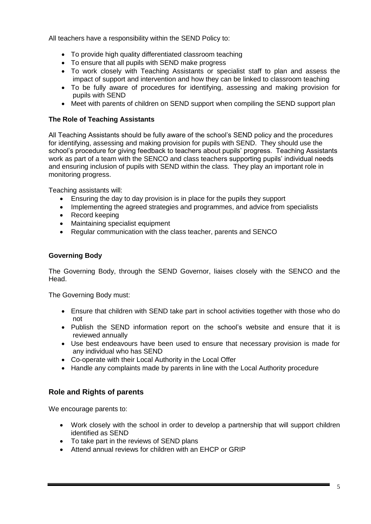All teachers have a responsibility within the SEND Policy to:

- To provide high quality differentiated classroom teaching
- To ensure that all pupils with SEND make progress
- To work closely with Teaching Assistants or specialist staff to plan and assess the impact of support and intervention and how they can be linked to classroom teaching
- To be fully aware of procedures for identifying, assessing and making provision for pupils with SEND
- Meet with parents of children on SEND support when compiling the SEND support plan

#### **The Role of Teaching Assistants**

All Teaching Assistants should be fully aware of the school's SEND policy and the procedures for identifying, assessing and making provision for pupils with SEND. They should use the school's procedure for giving feedback to teachers about pupils' progress. Teaching Assistants work as part of a team with the SENCO and class teachers supporting pupils' individual needs and ensuring inclusion of pupils with SEND within the class. They play an important role in monitoring progress.

Teaching assistants will:

- Ensuring the day to day provision is in place for the pupils they support
- Implementing the agreed strategies and programmes, and advice from specialists
- Record keeping
- Maintaining specialist equipment
- Regular communication with the class teacher, parents and SENCO

#### **Governing Body**

The Governing Body, through the SEND Governor, liaises closely with the SENCO and the Head.

The Governing Body must:

- Ensure that children with SEND take part in school activities together with those who do not
- Publish the SEND information report on the school's website and ensure that it is reviewed annually
- Use best endeavours have been used to ensure that necessary provision is made for any individual who has SEND
- Co-operate with their Local Authority in the Local Offer
- Handle any complaints made by parents in line with the Local Authority procedure

## **Role and Rights of parents**

We encourage parents to:

- Work closely with the school in order to develop a partnership that will support children identified as SEND
- To take part in the reviews of SEND plans
- Attend annual reviews for children with an EHCP or GRIP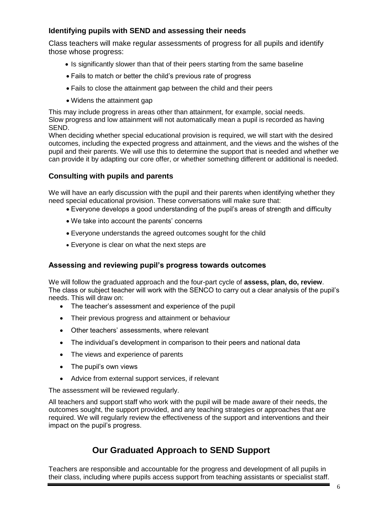## **Identifying pupils with SEND and assessing their needs**

Class teachers will make regular assessments of progress for all pupils and identify those whose progress:

- Is significantly slower than that of their peers starting from the same baseline
- Fails to match or better the child's previous rate of progress
- Fails to close the attainment gap between the child and their peers
- Widens the attainment gap

This may include progress in areas other than attainment, for example, social needs. Slow progress and low attainment will not automatically mean a pupil is recorded as having SEND.

When deciding whether special educational provision is required, we will start with the desired outcomes, including the expected progress and attainment, and the views and the wishes of the pupil and their parents. We will use this to determine the support that is needed and whether we can provide it by adapting our core offer, or whether something different or additional is needed.

## **Consulting with pupils and parents**

We will have an early discussion with the pupil and their parents when identifying whether they need special educational provision. These conversations will make sure that:

- Everyone develops a good understanding of the pupil's areas of strength and difficulty
- We take into account the parents' concerns
- Everyone understands the agreed outcomes sought for the child
- Everyone is clear on what the next steps are

## **Assessing and reviewing pupil's progress towards outcomes**

We will follow the graduated approach and the four-part cycle of **assess, plan, do, review**. The class or subject teacher will work with the SENCO to carry out a clear analysis of the pupil's needs. This will draw on:

- The teacher's assessment and experience of the pupil
- Their previous progress and attainment or behaviour
- Other teachers' assessments, where relevant
- The individual's development in comparison to their peers and national data
- The views and experience of parents
- The pupil's own views
- Advice from external support services, if relevant

The assessment will be reviewed regularly.

All teachers and support staff who work with the pupil will be made aware of their needs, the outcomes sought, the support provided, and any teaching strategies or approaches that are required. We will regularly review the effectiveness of the support and interventions and their impact on the pupil's progress.

# **Our Graduated Approach to SEND Support**

Teachers are responsible and accountable for the progress and development of all pupils in their class, including where pupils access support from teaching assistants or specialist staff.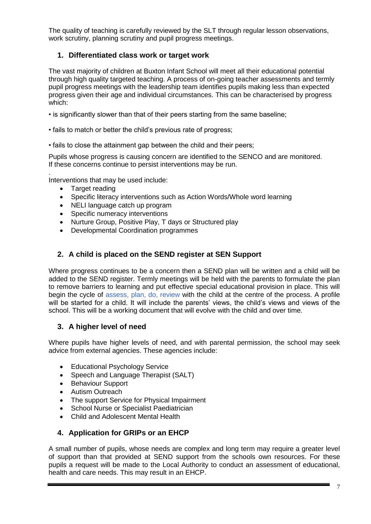The quality of teaching is carefully reviewed by the SLT through regular lesson observations, work scrutiny, planning scrutiny and pupil progress meetings.

## **1. Differentiated class work or target work**

The vast majority of children at Buxton Infant School will meet all their educational potential through high quality targeted teaching. A process of on-going teacher assessments and termly pupil progress meetings with the leadership team identifies pupils making less than expected progress given their age and individual circumstances. This can be characterised by progress which:

- is significantly slower than that of their peers starting from the same baseline;
- fails to match or better the child's previous rate of progress;
- fails to close the attainment gap between the child and their peers;

Pupils whose progress is causing concern are identified to the SENCO and are monitored. If these concerns continue to persist interventions may be run.

. Interventions that may be used include:

- Target reading
- Specific literacy interventions such as Action Words/Whole word learning
- NELI language catch up program
- Specific numeracy interventions
- Nurture Group, Positive Play, T days or Structured play
- Developmental Coordination programmes

#### **2. A child is placed on the SEND register at SEN Support**

Where progress continues to be a concern then a SEND plan will be written and a child will be added to the SEND register. Termly meetings will be held with the parents to formulate the plan to remove barriers to learning and put effective special educational provision in place. This will begin the cycle of assess, plan, do, review with the child at the centre of the process. A profile will be started for a child. It will include the parents' views, the child's views and views of the school. This will be a working document that will evolve with the child and over time.

#### **3. A higher level of need**

Where pupils have higher levels of need, and with parental permission, the school may seek advice from external agencies. These agencies include:

- Educational Psychology Service
- Speech and Language Therapist (SALT)
- Behaviour Support
- Autism Outreach
- The support Service for Physical Impairment
- School Nurse or Specialist Paediatrician
- Child and Adolescent Mental Health

## **4. Application for GRIPs or an EHCP**

A small number of pupils, whose needs are complex and long term may require a greater level of support than that provided at SEND support from the schools own resources. For these pupils a request will be made to the Local Authority to conduct an assessment of educational, health and care needs. This may result in an EHCP.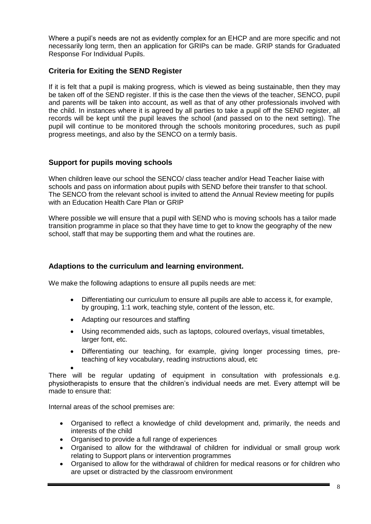Where a pupil's needs are not as evidently complex for an EHCP and are more specific and not necessarily long term, then an application for GRIPs can be made. GRIP stands for Graduated Response For Individual Pupils.

## **Criteria for Exiting the SEND Register**

If it is felt that a pupil is making progress, which is viewed as being sustainable, then they may be taken off of the SEND register. If this is the case then the views of the teacher, SENCO, pupil and parents will be taken into account, as well as that of any other professionals involved with the child. In instances where it is agreed by all parties to take a pupil off the SEND register, all records will be kept until the pupil leaves the school (and passed on to the next setting). The pupil will continue to be monitored through the schools monitoring procedures, such as pupil progress meetings, and also by the SENCO on a termly basis.

#### **Support for pupils moving schools**

When children leave our school the SENCO/ class teacher and/or Head Teacher liaise with schools and pass on information about pupils with SEND before their transfer to that school. The SENCO from the relevant school is invited to attend the Annual Review meeting for pupils with an Education Health Care Plan or GRIP

Where possible we will ensure that a pupil with SEND who is moving schools has a tailor made transition programme in place so that they have time to get to know the geography of the new school, staff that may be supporting them and what the routines are.

#### **Adaptions to the curriculum and learning environment.**

We make the following adaptions to ensure all pupils needs are met:

- Differentiating our curriculum to ensure all pupils are able to access it, for example, by grouping, 1:1 work, teaching style, content of the lesson, etc.
- Adapting our resources and staffing
- Using recommended aids, such as laptops, coloured overlays, visual timetables, larger font, etc.
- Differentiating our teaching, for example, giving longer processing times, preteaching of key vocabulary, reading instructions aloud, etc

 $\bullet$ 

There will be regular updating of equipment in consultation with professionals e.g. physiotherapists to ensure that the children's individual needs are met. Every attempt will be made to ensure that:

Internal areas of the school premises are:

- Organised to reflect a knowledge of child development and, primarily, the needs and interests of the child
- Organised to provide a full range of experiences
- Organised to allow for the withdrawal of children for individual or small group work relating to Support plans or intervention programmes
- Organised to allow for the withdrawal of children for medical reasons or for children who are upset or distracted by the classroom environment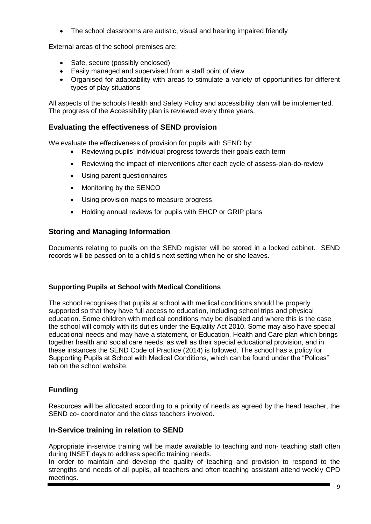• The school classrooms are autistic, visual and hearing impaired friendly

External areas of the school premises are:

- Safe, secure (possibly enclosed)
- Easily managed and supervised from a staff point of view
- Organised for adaptability with areas to stimulate a variety of opportunities for different types of play situations

All aspects of the schools Health and Safety Policy and accessibility plan will be implemented. The progress of the Accessibility plan is reviewed every three years.

## **Evaluating the effectiveness of SEND provision**

We evaluate the effectiveness of provision for pupils with SEND by:

- Reviewing pupils' individual progress towards their goals each term
- Reviewing the impact of interventions after each cycle of assess-plan-do-review
- Using parent questionnaires
- Monitoring by the SENCO
- Using provision maps to measure progress
- Holding annual reviews for pupils with EHCP or GRIP plans

#### **Storing and Managing Information**

Documents relating to pupils on the SEND register will be stored in a locked cabinet. SEND records will be passed on to a child's next setting when he or she leaves.

#### **Supporting Pupils at School with Medical Conditions**

The school recognises that pupils at school with medical conditions should be properly supported so that they have full access to education, including school trips and physical education. Some children with medical conditions may be disabled and where this is the case the school will comply with its duties under the Equality Act 2010. Some may also have special educational needs and may have a statement, or Education, Health and Care plan which brings together health and social care needs, as well as their special educational provision, and in these instances the SEND Code of Practice (2014) is followed. The school has a policy for Supporting Pupils at School with Medical Conditions, which can be found under the "Polices" tab on the school website.

## **Funding**

Resources will be allocated according to a priority of needs as agreed by the head teacher, the SEND co- coordinator and the class teachers involved.

#### **In-Service training in relation to SEND**

Appropriate in-service training will be made available to teaching and non- teaching staff often during INSET days to address specific training needs.

In order to maintain and develop the quality of teaching and provision to respond to the strengths and needs of all pupils, all teachers and often teaching assistant attend weekly CPD meetings.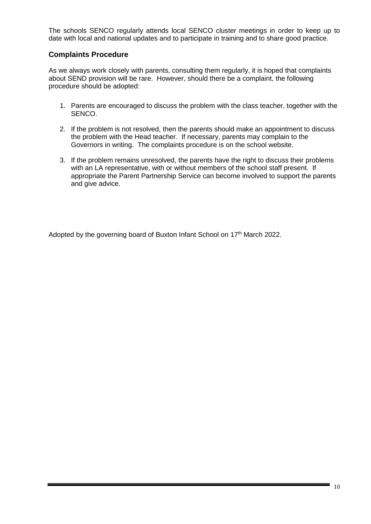The schools SENCO regularly attends local SENCO cluster meetings in order to keep up to date with local and national updates and to participate in training and to share good practice.

#### **Complaints Procedure**

As we always work closely with parents, consulting them regularly, it is hoped that complaints about SEND provision will be rare. However, should there be a complaint, the following procedure should be adopted:

- 1. Parents are encouraged to discuss the problem with the class teacher, together with the SENCO.
- 2. If the problem is not resolved, then the parents should make an appointment to discuss the problem with the Head teacher. If necessary, parents may complain to the Governors in writing. The complaints procedure is on the school website.
- 3. If the problem remains unresolved, the parents have the right to discuss their problems with an LA representative, with or without members of the school staff present. If appropriate the Parent Partnership Service can become involved to support the parents and give advice.

Adopted by the governing board of Buxton Infant School on 17<sup>th</sup> March 2022.